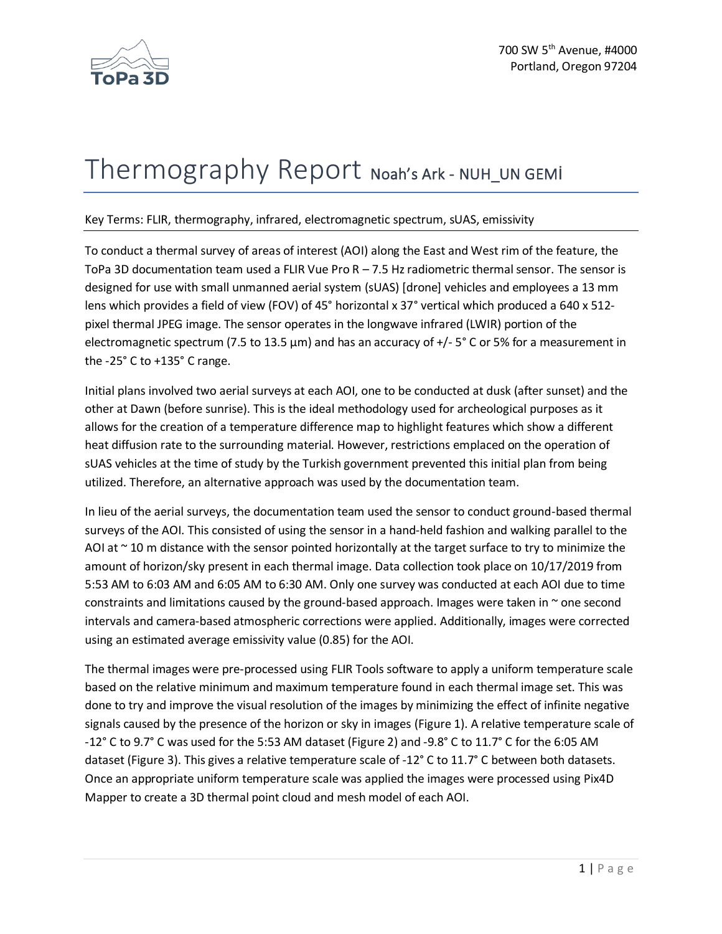

## Thermography Report Noah's Ark - NUH\_UN GEMI

## Key Terms: FLIR, thermography, infrared, electromagnetic spectrum, sUAS, emissivity

To conduct a thermal survey of areas of interest (AOI) along the East and West rim of the feature, the ToPa 3D documentation team used a FLIR Vue Pro  $R - 7.5$  Hz radiometric thermal sensor. The sensor is designed for use with small unmanned aerial system (sUAS) [drone] vehicles and employees a 13 mm lens which provides a field of view (FOV) of 45° horizontal x 37° vertical which produced a 640 x 512 pixel thermal JPEG image. The sensor operates in the longwave infrared (LWIR) portion of the electromagnetic spectrum (7.5 to 13.5  $\mu$ m) and has an accuracy of +/- 5° C or 5% for a measurement in the -25° C to +135° C range.

Initial plans involved two aerial surveys at each AOI, one to be conducted at dusk (after sunset) and the other at Dawn (before sunrise). This is the ideal methodology used for archeological purposes as it allows for the creation of a temperature difference map to highlight features which show a different heat diffusion rate to the surrounding material. However, restrictions emplaced on the operation of sUAS vehicles at the time of study by the Turkish government prevented this initial plan from being utilized. Therefore, an alternative approach was used by the documentation team.

In lieu of the aerial surveys, the documentation team used the sensor to conduct ground-based thermal surveys of the AOI. This consisted of using the sensor in a hand-held fashion and walking parallel to the AOI at  $\sim$  10 m distance with the sensor pointed horizontally at the target surface to try to minimize the amount of horizon/sky present in each thermal image. Data collection took place on 10/17/2019 from 5:53 AM to 6:03 AM and 6:05 AM to 6:30 AM. Only one survey was conducted at each AOI due to time constraints and limitations caused by the ground-based approach. Images were taken in  $\sim$  one second intervals and camera-based atmospheric corrections were applied. Additionally, images were corrected using an estimated average emissivity value (0.85) for the AOI.

The thermal images were pre-processed using FLIR Tools software to apply a uniform temperature scale based on the relative minimum and maximum temperature found in each thermal image set. This was done to try and improve the visual resolution of the images by minimizing the effect of infinite negative signals caused by the presence of the horizon or sky in images (Figure 1). A relative temperature scale of -12° C to 9.7° C was used for the 5:53 AM dataset (Figure 2) and -9.8° C to 11.7° C for the 6:05 AM dataset (Figure 3). This gives a relative temperature scale of -12° C to 11.7° C between both datasets. Once an appropriate uniform temperature scale was applied the images were processed using Pix4D Mapper to create a 3D thermal point cloud and mesh model of each AOI.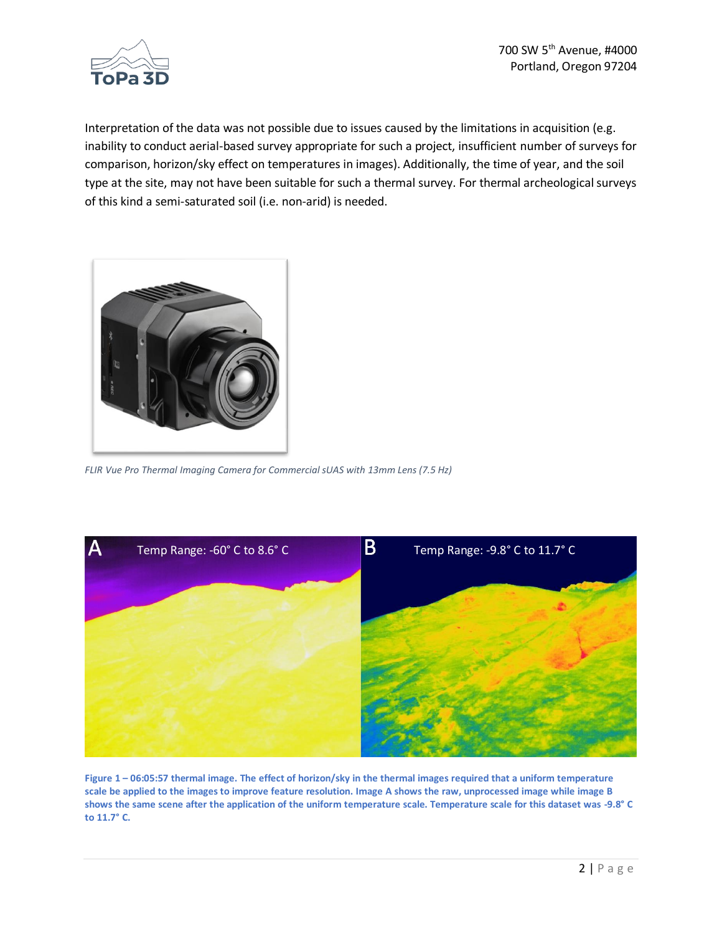

Interpretation of the data was not possible due to issues caused by the limitations in acquisition (e.g. inability to conduct aerial-based survey appropriate for such a project, insufficient number of surveys for comparison, horizon/sky effect on temperatures in images). Additionally, the time of year, and the soil type at the site, may not have been suitable for such a thermal survey. For thermal archeological surveys of this kind a semi-saturated soil (i.e. non-arid) is needed.



*FLIR Vue Pro Thermal Imaging Camera for Commercial sUAS with 13mm Lens (7.5 Hz)* 



**Figure 1 – 06:05:57 thermal image. The effect of horizon/sky in the thermal images required that a uniform temperature scale be applied to the images to improve feature resolution. Image A shows the raw, unprocessed image while image B shows the same scene after the application of the uniform temperature scale. Temperature scale for this dataset was -9.8° C to 11.7° C.**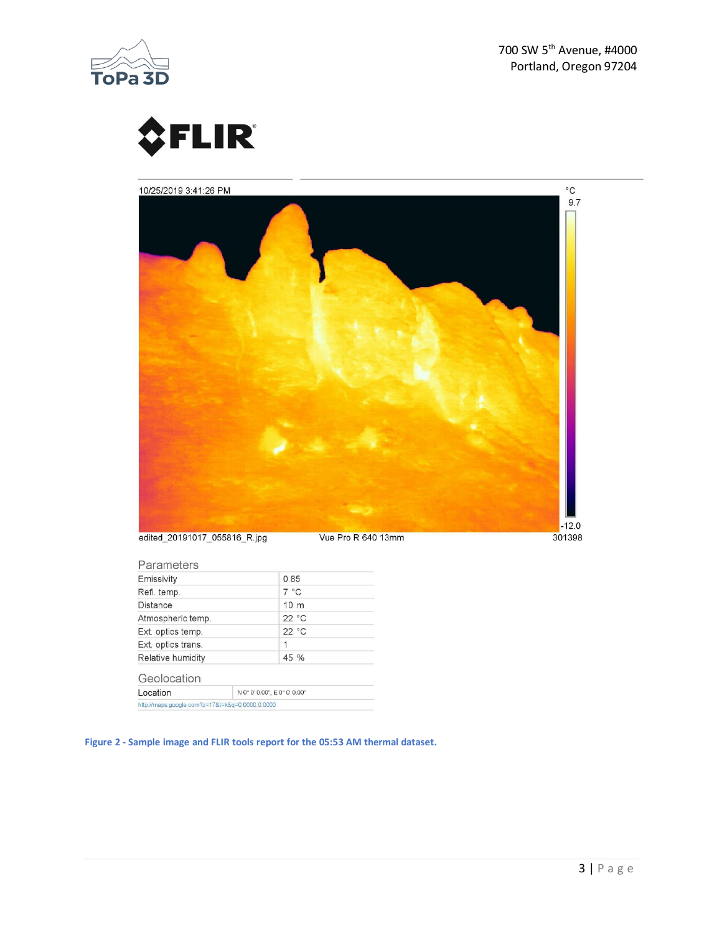

700 SW 5<sup>th</sup> Avenue, #4000 Portland, Oregon 97204





| Parameters                                      |  |                              |  |
|-------------------------------------------------|--|------------------------------|--|
| Emissivity                                      |  | 0.85                         |  |
| Refl. temp.                                     |  | $7^{\circ}$ C                |  |
| Distance                                        |  | 10 <sub>m</sub>              |  |
| Atmospheric temp.                               |  | 22 °C                        |  |
| Ext. optics temp.                               |  | 22 °C                        |  |
| Ext. optics trans.                              |  | 1                            |  |
| Relative humidity                               |  | 45 %                         |  |
| Geolocation                                     |  |                              |  |
| Location                                        |  | N 0° 0' 0.00", E 0° 0' 0.00" |  |
| http://maps.google.com?z=17&t=k&q=0.0000,0.0000 |  |                              |  |

**Figure 2 - Sample image and FLIR tools report for the 05:53 AM thermal dataset.**